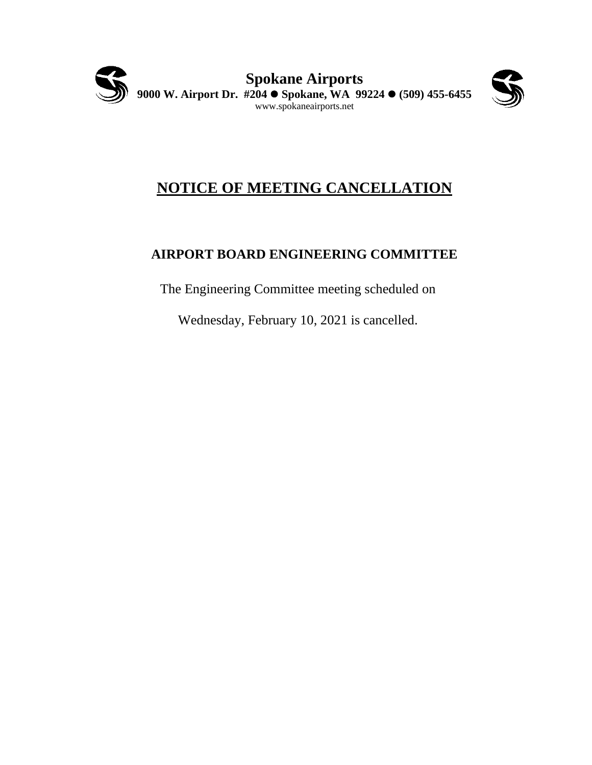



# **NOTICE OF MEETING CANCELLATION**

# **AIRPORT BOARD ENGINEERING COMMITTEE**

The Engineering Committee meeting scheduled on

Wednesday, February 10, 2021 is cancelled.